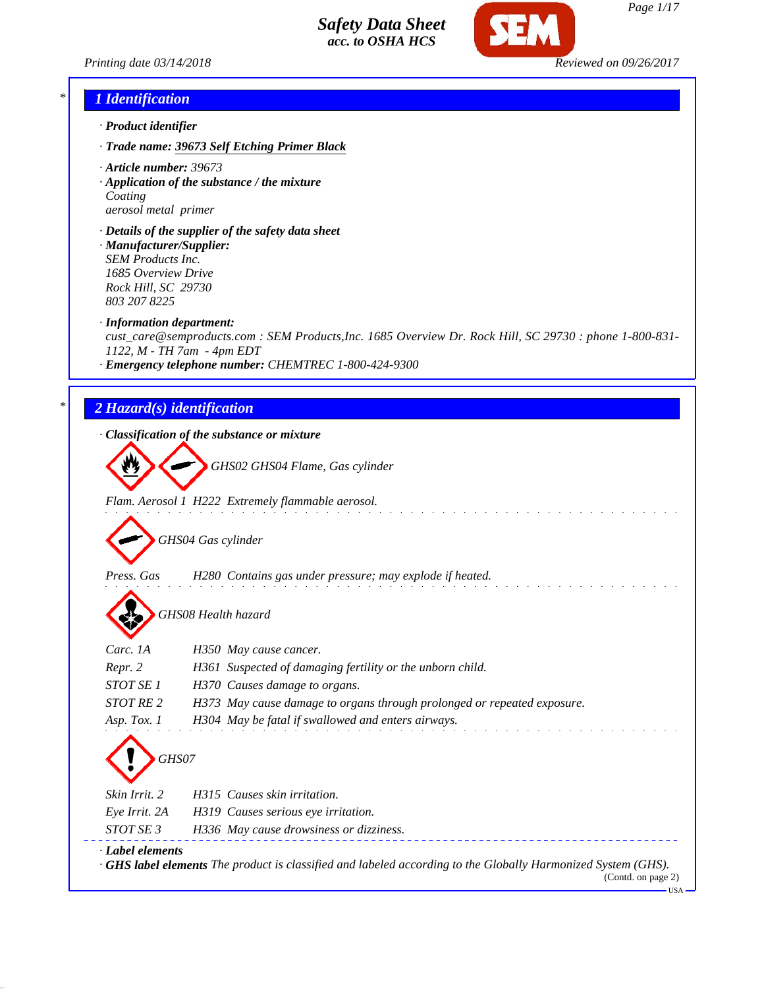

*Printing date 03/14/2018 Reviewed on 09/26/2017*

#### *\* 1 Identification*

- *· Product identifier*
- *· Trade name: 39673 Self Etching Primer Black*
- *· Article number: 39673*
- *· Application of the substance / the mixture Coating aerosol metal primer*
- *· Details of the supplier of the safety data sheet · Manufacturer/Supplier: SEM Products Inc. 1685 Overview Drive Rock Hill, SC 29730 803 207 8225*
- *· Information department:*
- *cust\_care@semproducts.com : SEM Products,Inc. 1685 Overview Dr. Rock Hill, SC 29730 : phone 1-800-831- 1122, M - TH 7am - 4pm EDT*
- *· Emergency telephone number: CHEMTREC 1-800-424-9300*

## *\* 2 Hazard(s) identification*

*· Classification of the substance or mixture*

*GHS02 GHS04 Flame, Gas cylinder*

*Flam. Aerosol 1 H222 Extremely flammable aerosol.*

*GHS04 Gas cylinder*

*Press. Gas H280 Contains gas under pressure; may explode if heated.*

*GHS08 Health hazard*

| Carc. 1A         | H350 May cause cancer.                                                  |
|------------------|-------------------------------------------------------------------------|
| Repr. 2          | H361 Suspected of damaging fertility or the unborn child.               |
| STOT SE 1        | H370 Causes damage to organs.                                           |
| STOT RE 2        | H373 May cause damage to organs through prolonged or repeated exposure. |
| Asp. Tox. 1      | H304 May be fatal if swallowed and enters airways.                      |
| GHS07            |                                                                         |
| Skin Irrit. 2    | H315 Causes skin irritation.                                            |
| Eye Irrit. 2A    | H319 Causes serious eye irritation.                                     |
| STOT SE 3        | H336 May cause drowsiness or dizziness.                                 |
| · Label elements |                                                                         |

*· GHS label elements The product is classified and labeled according to the Globally Harmonized System (GHS).*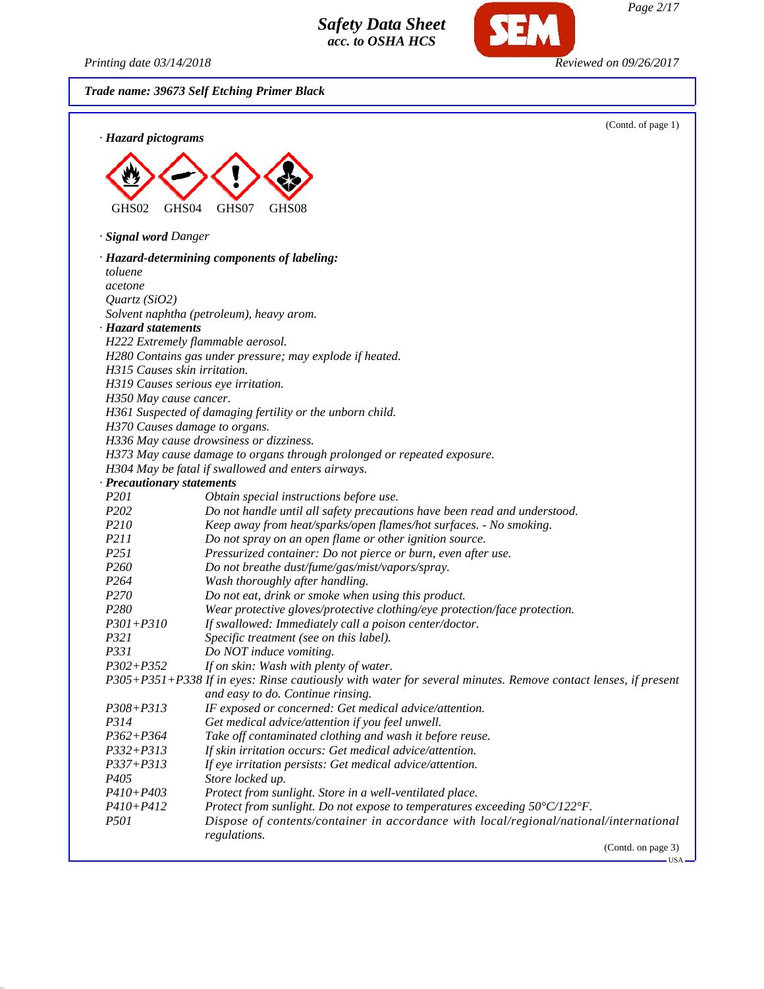*Printing date 03/14/2018 Reviewed on 09/26/2017*

SEM

*Trade name: 39673 Self Etching Primer Black*

| · Hazard pictograms            |                                                                                                                                                                                | (Contd. of page 1) |
|--------------------------------|--------------------------------------------------------------------------------------------------------------------------------------------------------------------------------|--------------------|
|                                |                                                                                                                                                                                |                    |
|                                |                                                                                                                                                                                |                    |
| GHS02<br>GHS <sub>04</sub>     | GHS07<br>GHS08                                                                                                                                                                 |                    |
| · <b>Signal word Danger</b>    |                                                                                                                                                                                |                    |
|                                | · Hazard-determining components of labeling:                                                                                                                                   |                    |
| toluene                        |                                                                                                                                                                                |                    |
| acetone                        |                                                                                                                                                                                |                    |
| Quartz $(SiO2)$                |                                                                                                                                                                                |                    |
|                                | Solvent naphtha (petroleum), heavy arom.                                                                                                                                       |                    |
| · Hazard statements            |                                                                                                                                                                                |                    |
|                                | H222 Extremely flammable aerosol.                                                                                                                                              |                    |
|                                | H280 Contains gas under pressure; may explode if heated.                                                                                                                       |                    |
| H315 Causes skin irritation.   |                                                                                                                                                                                |                    |
|                                | H319 Causes serious eye irritation.                                                                                                                                            |                    |
| H350 May cause cancer.         |                                                                                                                                                                                |                    |
|                                | H361 Suspected of damaging fertility or the unborn child.                                                                                                                      |                    |
| H370 Causes damage to organs.  |                                                                                                                                                                                |                    |
|                                | H336 May cause drowsiness or dizziness.                                                                                                                                        |                    |
|                                | H373 May cause damage to organs through prolonged or repeated exposure.                                                                                                        |                    |
|                                | H304 May be fatal if swallowed and enters airways.                                                                                                                             |                    |
| · Precautionary statements     |                                                                                                                                                                                |                    |
| P201                           | Obtain special instructions before use.                                                                                                                                        |                    |
| P202                           | Do not handle until all safety precautions have been read and understood.                                                                                                      |                    |
| P210                           | Keep away from heat/sparks/open flames/hot surfaces. - No smoking.                                                                                                             |                    |
| <i>P211</i>                    | Do not spray on an open flame or other ignition source.                                                                                                                        |                    |
| P <sub>251</sub>               | Pressurized container: Do not pierce or burn, even after use.                                                                                                                  |                    |
| P <sub>260</sub>               | Do not breathe dust/fume/gas/mist/vapors/spray.                                                                                                                                |                    |
| P <sub>264</sub>               | Wash thoroughly after handling.                                                                                                                                                |                    |
| P <sub>270</sub>               | Do not eat, drink or smoke when using this product.                                                                                                                            |                    |
| P <sub>280</sub>               | Wear protective gloves/protective clothing/eye protection/face protection.                                                                                                     |                    |
| $P301 + P310$                  | If swallowed: Immediately call a poison center/doctor.                                                                                                                         |                    |
| P321                           | Specific treatment (see on this label).                                                                                                                                        |                    |
| P331                           | Do NOT induce vomiting.                                                                                                                                                        |                    |
| $P302 + P352$                  | If on skin: Wash with plenty of water.                                                                                                                                         |                    |
|                                | P305+P351+P338 If in eyes: Rinse cautiously with water for several minutes. Remove contact lenses, if present                                                                  |                    |
|                                | and easy to do. Continue rinsing.                                                                                                                                              |                    |
| P308+P313                      | IF exposed or concerned: Get medical advice/attention.                                                                                                                         |                    |
| P314                           | Get medical advice/attention if you feel unwell.                                                                                                                               |                    |
| $P362 + P364$<br>$P332 + P313$ | Take off contaminated clothing and wash it before reuse.                                                                                                                       |                    |
| $P337 + P313$                  | If skin irritation occurs: Get medical advice/attention.                                                                                                                       |                    |
| P <sub>405</sub>               | If eye irritation persists: Get medical advice/attention.                                                                                                                      |                    |
| P410+P403                      | Store locked up.                                                                                                                                                               |                    |
| $P410 + P412$                  | Protect from sunlight. Store in a well-ventilated place.                                                                                                                       |                    |
| <i>P501</i>                    | Protect from sunlight. Do not expose to temperatures exceeding $50^{\circ}$ C/122°F.<br>Dispose of contents/container in accordance with local/regional/national/international |                    |
|                                | regulations.                                                                                                                                                                   |                    |
|                                |                                                                                                                                                                                | (Contd. on page 3) |
|                                |                                                                                                                                                                                | -USA-              |

*Page 2/17*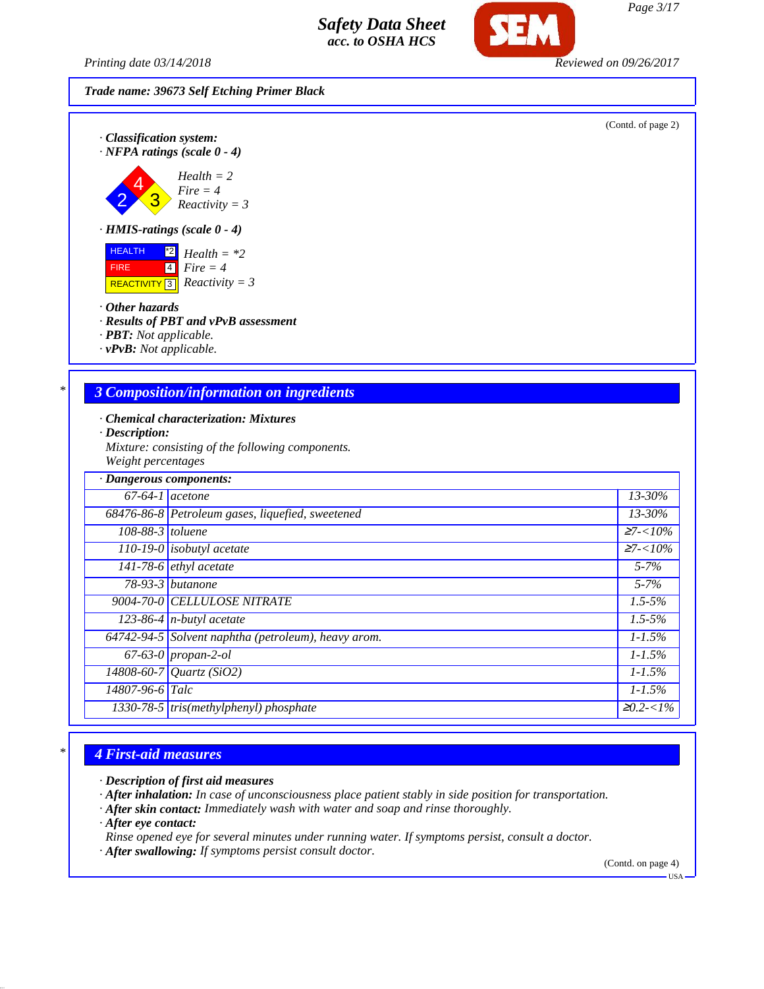*Printing date 03/14/2018 Reviewed on 09/26/2017*

*Trade name: 39673 Self Etching Primer Black*

(Contd. of page 2)

*· Classification system: · NFPA ratings (scale 0 - 4)*

$$
Health = 2\nB\nFire = 4\nReactivity = 3
$$

*· HMIS-ratings (scale 0 - 4)*

 HEALTH FIRE REACTIVITY \*2 4 3 *Health = \*2 Fire = 4 Reactivity = 3*

- *· Other hazards*
- *· Results of PBT and vPvB assessment*
- *· PBT: Not applicable.*
- *· vPvB: Not applicable.*

## *\* 3 Composition/information on ingredients*

- *· Chemical characterization: Mixtures*
- *· Description:*
- *Mixture: consisting of the following components. Weight percentages*

| · Dangerous components: |                                                     |                                |
|-------------------------|-----------------------------------------------------|--------------------------------|
| $67-64-1$ acetone       |                                                     | $13 - 30\%$                    |
|                         | 68476-86-8 Petroleum gases, liquefied, sweetened    | $13 - 30\%$                    |
| $108-88-3$ toluene      |                                                     | $27 - 10\%$                    |
|                         | $\boxed{110-19-0}$ isobutyl acetate                 | $\overline{\mathsf{27}}$ -<10% |
|                         | 141-78-6 $ethyl$ acetate                            | $5 - 7\%$                      |
|                         | $78-93-3$ butanone                                  | $5 - 7\%$                      |
|                         | 9004-70-0 CELLULOSE NITRATE                         | $1.5 - 5\%$                    |
|                         | 123-86-4 $n$ -butyl acetate                         | $1.5 - 5\%$                    |
|                         | 64742-94-5 Solvent naphtha (petroleum), heavy arom. | $1 - 1.5\%$                    |
|                         | $67-63-0$ propan-2-ol                               | $1 - 1.5\%$                    |
|                         | $14808 - 60 - 7$ <i>Quartz</i> (SiO2)               | $1 - 1.5\%$                    |
| $14807 - 96 - 6$ Talc   |                                                     | $1 - 1.5\%$                    |
|                         | $1330-78-5$ tris(methylphenyl) phosphate            | $\geq 0.2 < 1\%$               |

## *\* 4 First-aid measures*

- *· Description of first aid measures*
- *· After inhalation: In case of unconsciousness place patient stably in side position for transportation.*
- *· After skin contact: Immediately wash with water and soap and rinse thoroughly.*
- *· After eye contact:*
- *Rinse opened eye for several minutes under running water. If symptoms persist, consult a doctor.*
- *· After swallowing: If symptoms persist consult doctor.*

(Contd. on page 4)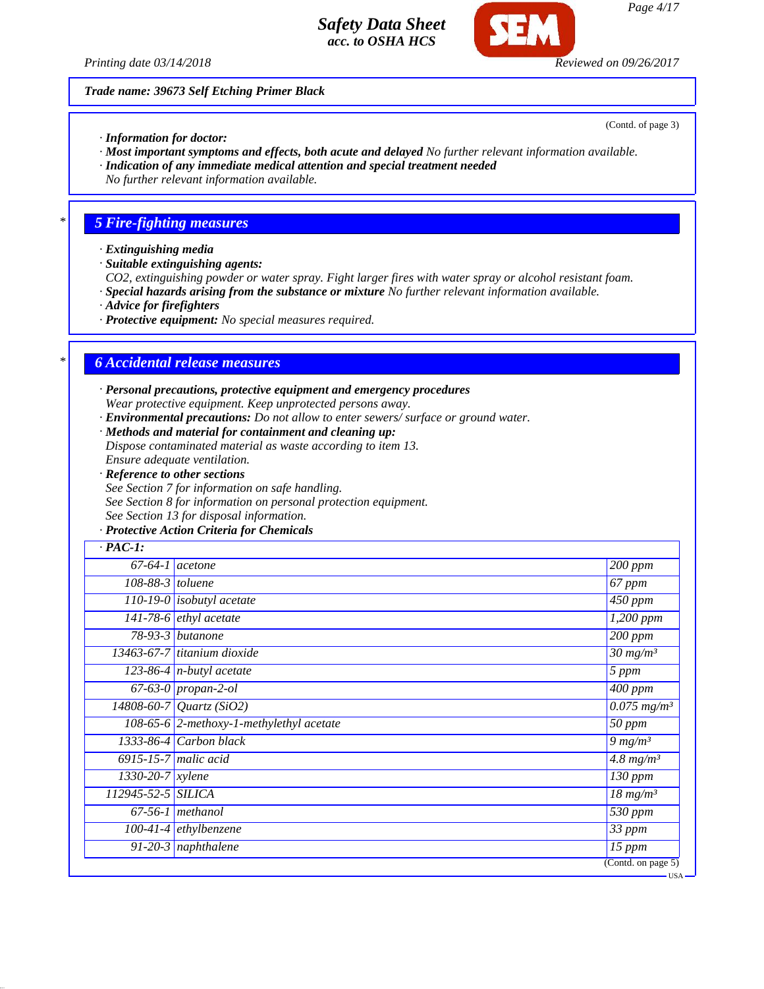

*Page 4/17*

*Trade name: 39673 Self Etching Primer Black*

(Contd. of page 3)

- *· Information for doctor:*
- *· Most important symptoms and effects, both acute and delayed No further relevant information available.*
- *· Indication of any immediate medical attention and special treatment needed*
- *No further relevant information available.*

# *\* 5 Fire-fighting measures*

- *· Extinguishing media*
- *· Suitable extinguishing agents:*
- *CO2, extinguishing powder or water spray. Fight larger fires with water spray or alcohol resistant foam.*
- *· Special hazards arising from the substance or mixture No further relevant information available.*
- *· Advice for firefighters*
- *· Protective equipment: No special measures required.*

## *\* 6 Accidental release measures*

- *· Personal precautions, protective equipment and emergency procedures Wear protective equipment. Keep unprotected persons away.*
- *· Environmental precautions: Do not allow to enter sewers/ surface or ground water.*
- *· Methods and material for containment and cleaning up:*
- *Dispose contaminated material as waste according to item 13. Ensure adequate ventilation.*
- *· Reference to other sections*
- *See Section 7 for information on safe handling.*
- *See Section 8 for information on personal protection equipment.*
- *See Section 13 for disposal information.*
- *· Protective Action Criteria for Chemicals*

| $67-64-1$ acetone                        | $200$ ppm                            |
|------------------------------------------|--------------------------------------|
| 108-88-3 toluene                         | 67 ppm                               |
| $\overline{110-19}$ -0 isobutyl acetate  | 450 ppm                              |
| $\overline{141-78-6}$ ethyl acetate      | 1,200 ppm                            |
| $78-93-3$ butanone                       | $200$ ppm                            |
| 13463-67-7 titanium dioxide              | $30 \frac{mg}{m^3}$                  |
| 123-86-4 $n$ -butyl acetate              | 5 ppm                                |
| $67-63-0$ propan-2-ol                    | 400 ppm                              |
| $14808 - 60 - 7$ <i>Quartz</i> (SiO2)    | $\overline{0.075}$ mg/m <sup>3</sup> |
| 108-65-6 2-methoxy-1-methylethyl acetate | $50$ ppm                             |
| 1333-86-4 Carbon black                   | 9 $mg/m^3$                           |
| $6915 - 15 - 7$ malic acid               | $4.8$ mg/m <sup>3</sup>              |
| $1330 - 20 - 7$ xylene                   | 130 ppm                              |
| 112945-52-5 SILICA                       | $\overline{18}$ mg/m <sup>3</sup>    |
| $67-56-1$ methanol                       | $\overline{530}$ ppm                 |
| $100-41-4$ ethylbenzene                  | 33 ppm                               |
| 91-20-3 naphthalene                      | $15$ ppm                             |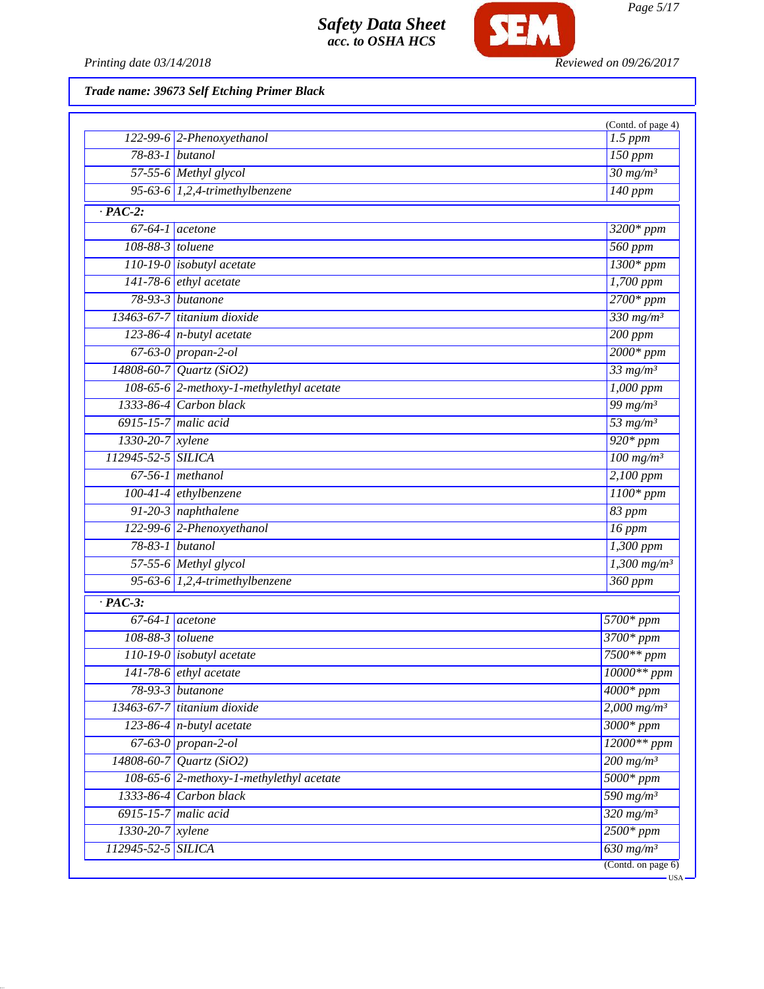

*Trade name: 39673 Self Etching Primer Black*

|                        |                                          | (Contd. of page 4)        |
|------------------------|------------------------------------------|---------------------------|
|                        | $122-99-6$ 2-Phenoxyethanol              | $1.5$ ppm                 |
| 78-83-1 butanol        |                                          | $150$ ppm                 |
|                        | 57-55-6 Methyl glycol                    | $30 \frac{mg}{m^3}$       |
|                        | 95-63-6 $1,2,4$ -trimethylbenzene        | 140 ppm                   |
| $\cdot$ PAC-2:         |                                          |                           |
| $67-64-1$ acetone      |                                          | 3200* ppm                 |
| 108-88-3 toluene       |                                          | 560 ppm                   |
|                        | 110-19-0 <i>isobutyl</i> acetate         | $1300*ppm$                |
|                        | 141-78-6 <i>ethyl</i> acetate            | 1,700 ppm                 |
| 78-93-3 butanone       |                                          | $2700*ppm$                |
|                        | 13463-67-7 titanium dioxide              | $330$ mg/m <sup>3</sup>   |
|                        | 123-86-4 $n$ -butyl acetate              | $200$ ppm                 |
|                        | $67-63-0$ propan-2-ol                    | $2000*ppm$                |
|                        | 14808-60-7 Quartz (SiO2)                 | $33$ mg/m <sup>3</sup>    |
|                        | 108-65-6 2-methoxy-1-methylethyl acetate | $1,000$ ppm               |
|                        | 1333-86-4 Carbon black                   | 99 $mg/m^3$               |
| 6915-15-7 malic acid   |                                          | 53 $mg/m^3$               |
| 1330-20-7 xylene       |                                          | $920*ppm$                 |
| 112945-52-5 SILICA     |                                          | $100$ mg/m <sup>3</sup>   |
| $67-56-1$ methanol     |                                          | 2,100 ppm                 |
|                        | $100-41-4$ ethylbenzene                  | $1100*ppm$                |
|                        | $91-20-3$ naphthalene                    | 83 ppm                    |
|                        | 122-99-6 2-Phenoxyethanol                | $16$ ppm                  |
| 78-83-1 butanol        |                                          | 1,300 ppm                 |
|                        | 57-55-6 Methyl glycol                    | $1,300$ mg/m <sup>3</sup> |
|                        | 95-63-6 $1,2,4$ -trimethylbenzene        | $360$ ppm                 |
| $\cdot$ PAC-3:         |                                          |                           |
| $67-64-1$ acetone      |                                          | 5700* ppm                 |
| 108-88-3 toluene       |                                          | $3700*ppm$                |
|                        | $110-19-0$ isobutyl acetate              | $7500**$ ppm              |
|                        | $141-78-6$ ethyl acetate                 | 10000** ppm               |
| $78-93-3$ butanone     |                                          | $4000*$ ppm               |
|                        | $13463-67-7$ titanium dioxide            | $2,000$ mg/m <sup>3</sup> |
|                        | $123-86-4$ n-butyl acetate               | $3000*ppm$                |
|                        | 67-63-0 propan-2-ol                      | $12000**$ ppm             |
|                        | $14808 - 60 - 7$ <i>Quartz</i> (SiO2)    | $200$ mg/m <sup>3</sup>   |
|                        | 108-65-6 2-methoxy-1-methylethyl acetate | $5000*ppm$                |
|                        | 1333-86-4 Carbon black                   | 590 mg/m <sup>3</sup>     |
| $6915-15-7$ malic acid |                                          | $320$ mg/m <sup>3</sup>   |
| $1330 - 20 - 7$ xylene |                                          | $2500*ppm$                |
| 112945-52-5 SILICA     |                                          | $630$ mg/m <sup>3</sup>   |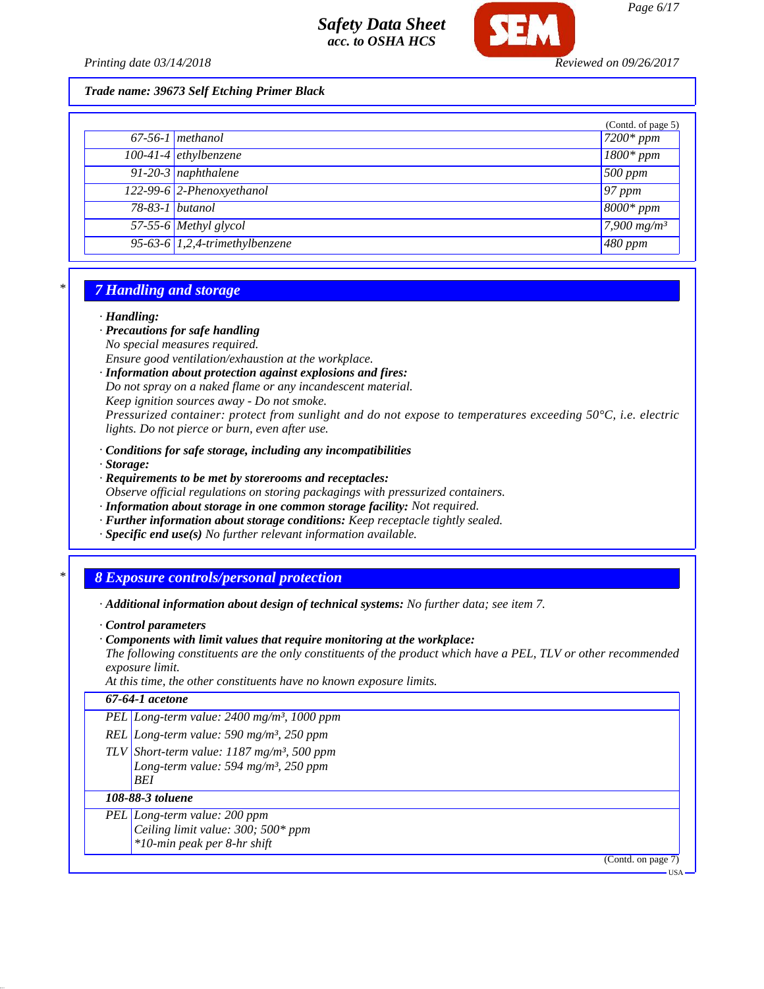

*Printing date 03/14/2018 Reviewed on 09/26/2017*

*Trade name: 39673 Self Etching Primer Black*

|                 |                                             | (Contd. of page 5) |
|-----------------|---------------------------------------------|--------------------|
|                 | $67-56-1$ methanol                          | $7200*ppm$         |
|                 | $100-41-4$ ethylbenzene                     | $1800*ppm$         |
|                 | 91-20-3 naphthalene                         | 500 ppm            |
|                 | 122-99-6 2-Phenoxyethanol                   | $97$ ppm           |
| 78-83-1 butanol |                                             | $\sqrt{8000*ppm}$  |
|                 | 57-55-6 Methyl glycol                       | 7,900 $mg/m^3$     |
|                 | $\overline{95-63-6}$ 1,2,4-trimethylbenzene | $480$ ppm          |

## *\* 7 Handling and storage*

#### *· Handling:*

- *· Precautions for safe handling No special measures required.*
- *Ensure good ventilation/exhaustion at the workplace.*
- *· Information about protection against explosions and fires: Do not spray on a naked flame or any incandescent material. Keep ignition sources away - Do not smoke. Pressurized container: protect from sunlight and do not expose to temperatures exceeding 50°C, i.e. electric lights. Do not pierce or burn, even after use.*
- *· Conditions for safe storage, including any incompatibilities*
- *· Storage:*
- *· Requirements to be met by storerooms and receptacles:*
- *Observe official regulations on storing packagings with pressurized containers.*
- *· Information about storage in one common storage facility: Not required.*
- *· Further information about storage conditions: Keep receptacle tightly sealed.*
- *· Specific end use(s) No further relevant information available.*

## *\* 8 Exposure controls/personal protection*

- *· Additional information about design of technical systems: No further data; see item 7.*
- *· Control parameters*
- *· Components with limit values that require monitoring at the workplace:*

*The following constituents are the only constituents of the product which have a PEL, TLV or other recommended exposure limit.*

*At this time, the other constituents have no known exposure limits.*

## *67-64-1 acetone*

- *PEL Long-term value: 2400 mg/m³, 1000 ppm*
- *REL Long-term value: 590 mg/m³, 250 ppm*
- *TLV Short-term value: 1187 mg/m³, 500 ppm Long-term value: 594 mg/m³, 250 ppm BEI*

#### *108-88-3 toluene*

- *PEL Long-term value: 200 ppm*
	- *Ceiling limit value: 300; 500\* ppm*
	- *\*10-min peak per 8-hr shift*

(Contd. on page 7)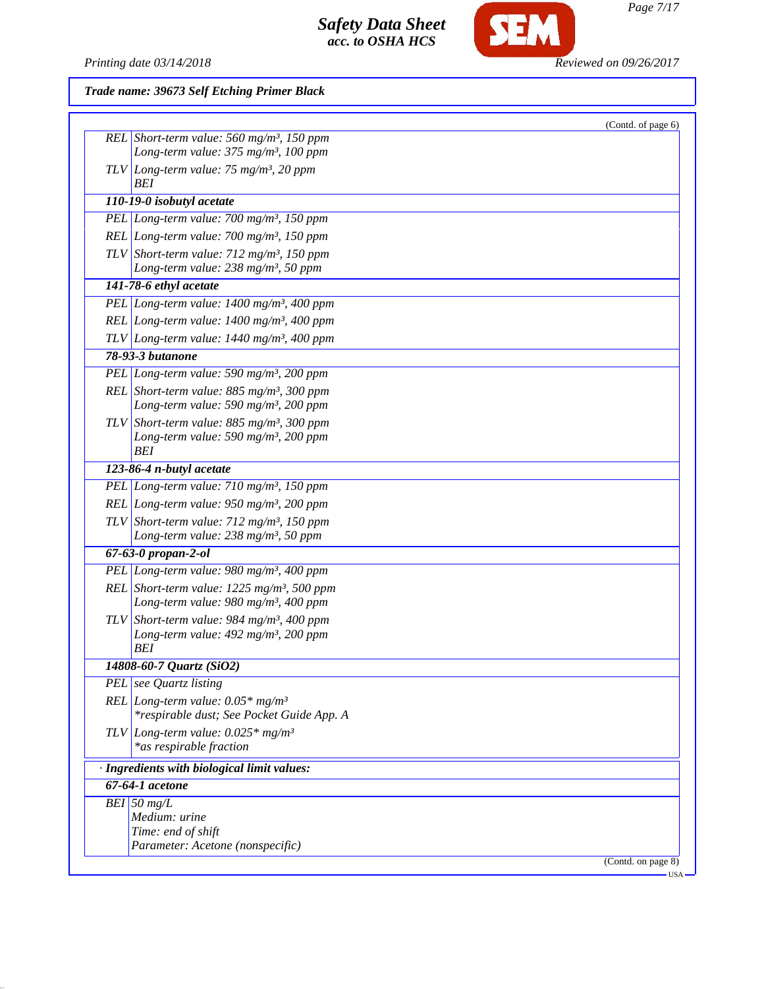

Printing date 03/14/2018 **Reviewed on 09/26/2017** 

*Trade name: 39673 Self Etching Primer Black*

| (Contd. of page 6)                                       |
|----------------------------------------------------------|
| REL Short-term value: 560 mg/m <sup>3</sup> , 150 ppm    |
| Long-term value: 375 mg/m <sup>3</sup> , 100 ppm         |
| $TLV$ Long-term value: 75 mg/m <sup>3</sup> , 20 ppm     |
| BEI                                                      |
| 110-19-0 isobutyl acetate                                |
| PEL Long-term value: $700$ mg/m <sup>3</sup> , 150 ppm   |
| REL Long-term value: $700$ mg/m <sup>3</sup> , 150 ppm   |
| TLV Short-term value: $712 \text{ mg/m}^3$ , 150 ppm     |
| Long-term value: $238$ mg/m <sup>3</sup> , 50 ppm        |
| 141-78-6 ethyl acetate                                   |
| PEL Long-term value: 1400 mg/m <sup>3</sup> , 400 ppm    |
| REL Long-term value: $1400$ mg/m <sup>3</sup> , 400 ppm  |
| TLV Long-term value: $1440$ mg/m <sup>3</sup> , 400 ppm  |
| 78-93-3 butanone                                         |
| PEL Long-term value: 590 mg/m <sup>3</sup> , 200 ppm     |
| REL Short-term value: $885$ mg/m <sup>3</sup> , 300 ppm  |
| Long-term value: 590 mg/m <sup>3</sup> , 200 ppm         |
| TLV Short-term value: $885$ mg/m <sup>3</sup> , 300 ppm  |
| Long-term value: 590 mg/m <sup>3</sup> , 200 ppm         |
| <b>BEI</b>                                               |
| 123-86-4 n-butyl acetate                                 |
| PEL Long-term value: $710$ mg/m <sup>3</sup> , 150 ppm   |
| REL Long-term value: $950$ mg/m <sup>3</sup> , 200 ppm   |
| TLV Short-term value: $712$ mg/m <sup>3</sup> , 150 ppm  |
| Long-term value: 238 mg/m <sup>3</sup> , 50 ppm          |
| 67-63-0 propan-2-ol                                      |
| PEL Long-term value: 980 mg/m <sup>3</sup> , 400 ppm     |
| REL Short-term value: $1225$ mg/m <sup>3</sup> , 500 ppm |
| Long-term value: 980 mg/m <sup>3</sup> , 400 ppm         |
| TLV Short-term value: 984 mg/m <sup>3</sup> , 400 ppm    |
| Long-term value: $492$ mg/m <sup>3</sup> , 200 ppm       |
| BEI                                                      |
| 14808-60-7 Quartz (SiO2)                                 |
| PEL see Quartz listing                                   |
| REL Long-term value: $0.05*$ mg/m <sup>3</sup>           |
| *respirable dust; See Pocket Guide App. A                |
| TLV Long-term value: $0.025*$ mg/m <sup>3</sup>          |
| *as respirable fraction                                  |
| · Ingredients with biological limit values:              |
| 67-64-1 acetone                                          |
| BEI 50 $mg/L$                                            |
| Medium: urine                                            |
| Time: end of shift<br>Parameter: Acetone (nonspecific)   |
| (Contd. on page 8)                                       |
| - USA                                                    |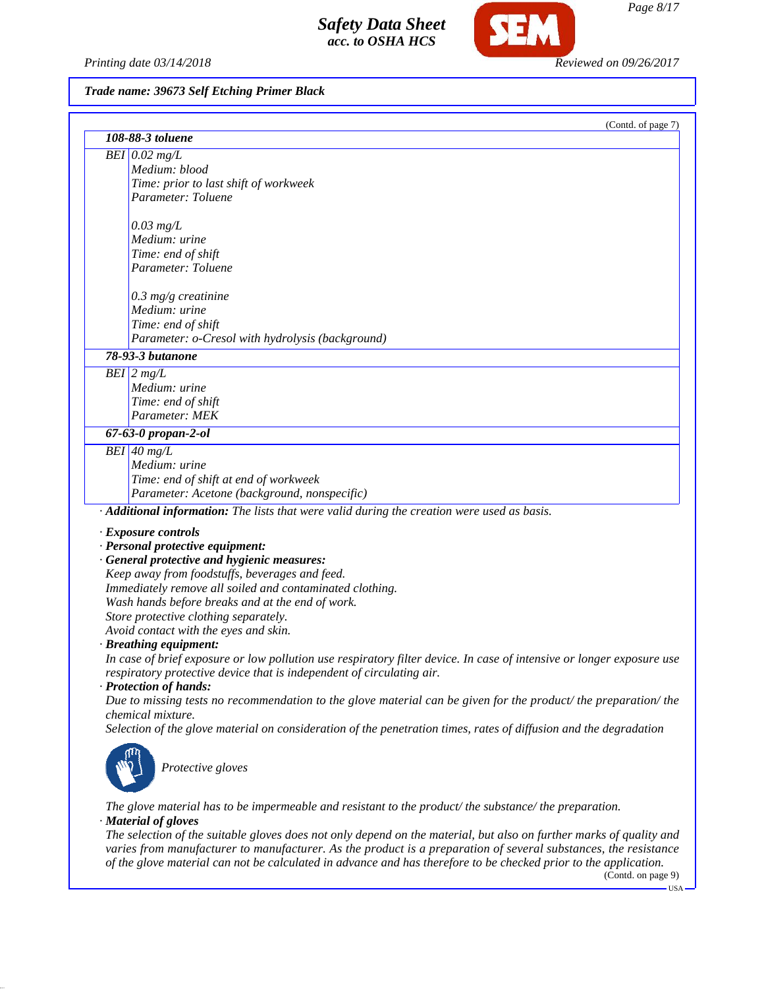*Printing date 03/14/2018 Reviewed on 09/26/2017*

SF

## *Trade name: 39673 Self Etching Primer Black*

| (Contd. of page 7)                                                                                                                     |
|----------------------------------------------------------------------------------------------------------------------------------------|
| 108-88-3 toluene                                                                                                                       |
| $BEI$ 0.02 mg/L                                                                                                                        |
| Medium: blood                                                                                                                          |
| Time: prior to last shift of workweek                                                                                                  |
| Parameter: Toluene                                                                                                                     |
|                                                                                                                                        |
| $0.03$ mg/L<br>Medium: urine                                                                                                           |
|                                                                                                                                        |
| Time: end of shift<br>Parameter: Toluene                                                                                               |
|                                                                                                                                        |
| $0.3$ mg/g creatinine                                                                                                                  |
| Medium: urine                                                                                                                          |
| Time: end of shift                                                                                                                     |
| Parameter: o-Cresol with hydrolysis (background)                                                                                       |
| 78-93-3 butanone                                                                                                                       |
| $BEI$ 2 mg/L                                                                                                                           |
| Medium: urine                                                                                                                          |
| Time: end of shift                                                                                                                     |
| Parameter: MEK                                                                                                                         |
| 67-63-0 propan-2-ol                                                                                                                    |
| $\overline{BEI}$ 40 mg/L                                                                                                               |
| Medium: urine                                                                                                                          |
| Time: end of shift at end of workweek                                                                                                  |
| Parameter: Acetone (background, nonspecific)                                                                                           |
| · Additional information: The lists that were valid during the creation were used as basis.                                            |
| <b>Exposure controls</b>                                                                                                               |
| · Personal protective equipment:                                                                                                       |
| · General protective and hygienic measures:                                                                                            |
| Keep away from foodstuffs, beverages and feed.                                                                                         |
| Immediately remove all soiled and contaminated clothing.                                                                               |
| Wash hands before breaks and at the end of work.                                                                                       |
| Store protective clothing separately.                                                                                                  |
| Avoid contact with the eyes and skin.                                                                                                  |
| · Breathing equipment:                                                                                                                 |
| In case of brief exposure or low pollution use respiratory filter device. In case of intensive or longer exposure use                  |
| respiratory protective device that is independent of circulating air.                                                                  |
| · Protection of hands:                                                                                                                 |
| Due to missing tests no recommendation to the glove material can be given for the product/the preparation/the                          |
| chemical mixture.<br>Selection of the glove material on consideration of the penetration times, rates of diffusion and the degradation |
|                                                                                                                                        |
|                                                                                                                                        |
| Protective gloves                                                                                                                      |
|                                                                                                                                        |
|                                                                                                                                        |

*The glove material has to be impermeable and resistant to the product/ the substance/ the preparation. · Material of gloves*

*The selection of the suitable gloves does not only depend on the material, but also on further marks of quality and varies from manufacturer to manufacturer. As the product is a preparation of several substances, the resistance of the glove material can not be calculated in advance and has therefore to be checked prior to the application.*

(Contd. on page 9)  $-<sub>USA</sub>$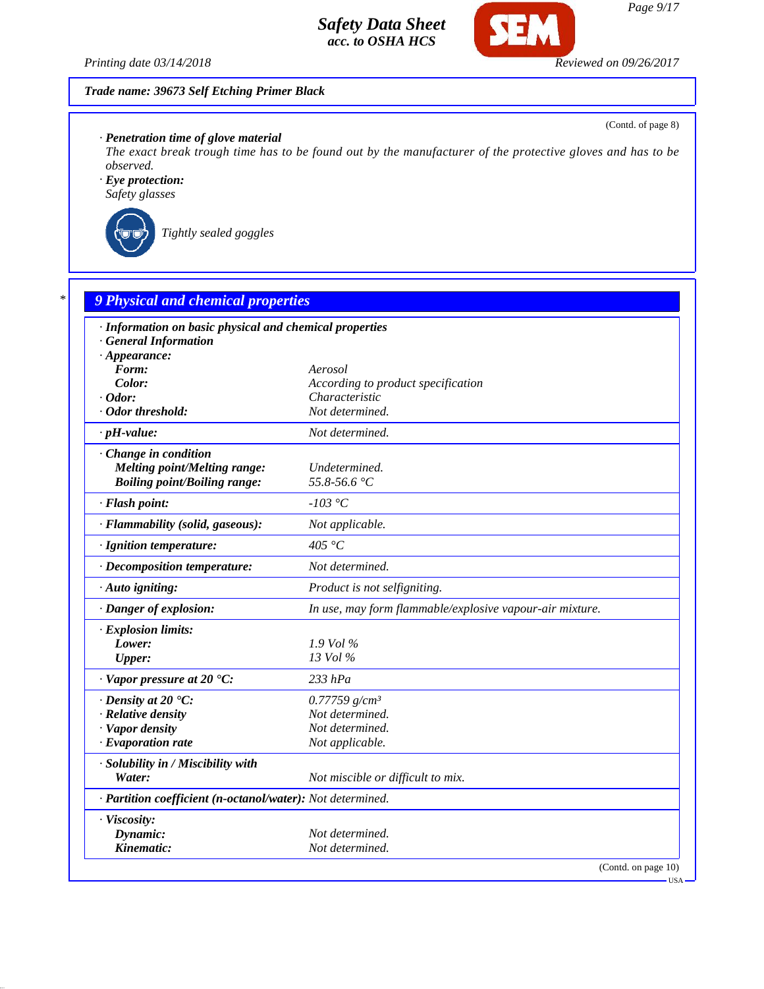

Œ

(Contd. of page 8)

## *· Penetration time of glove material*

*The exact break trough time has to be found out by the manufacturer of the protective gloves and has to be observed.*

*· Eye protection: Safety glasses*



*Tightly sealed goggles*

| · Information on basic physical and chemical properties    |                                                          |
|------------------------------------------------------------|----------------------------------------------------------|
| <b>General Information</b>                                 |                                                          |
| $\cdot$ Appearance:                                        |                                                          |
| Form:                                                      | Aerosol                                                  |
| Color:                                                     | According to product specification                       |
| $\cdot$ Odor:                                              | Characteristic                                           |
| · Odor threshold:                                          | Not determined.                                          |
| $\cdot$ pH-value:                                          | Not determined.                                          |
| Change in condition                                        |                                                          |
| Melting point/Melting range:                               | Undetermined.                                            |
| <b>Boiling point/Boiling range:</b>                        | 55.8-56.6 °C                                             |
| · Flash point:                                             | $-103\text{ °C}$                                         |
| · Flammability (solid, gaseous):                           | Not applicable.                                          |
| · Ignition temperature:                                    | 405 °C                                                   |
| · Decomposition temperature:                               | Not determined.                                          |
| · Auto igniting:                                           | Product is not selfigniting.                             |
| · Danger of explosion:                                     | In use, may form flammable/explosive vapour-air mixture. |
| · Explosion limits:                                        |                                                          |
| Lower:                                                     | $1.9$ Vol $\%$                                           |
| <b>Upper:</b>                                              | 13 Vol %                                                 |
| $\cdot$ Vapor pressure at 20 $\textdegree$ C:              | $233$ $hPa$                                              |
| $\cdot$ Density at 20 $\degree$ C:                         | $0.77759$ g/cm <sup>3</sup>                              |
| · Relative density                                         | Not determined.                                          |
| · Vapor density                                            | Not determined.                                          |
| $\cdot$ Evaporation rate                                   | Not applicable.                                          |
| · Solubility in / Miscibility with                         |                                                          |
| Water:                                                     | Not miscible or difficult to mix.                        |
| · Partition coefficient (n-octanol/water): Not determined. |                                                          |
| · Viscosity:                                               |                                                          |
| Dynamic:                                                   | Not determined.                                          |
| Kinematic:                                                 | Not determined.                                          |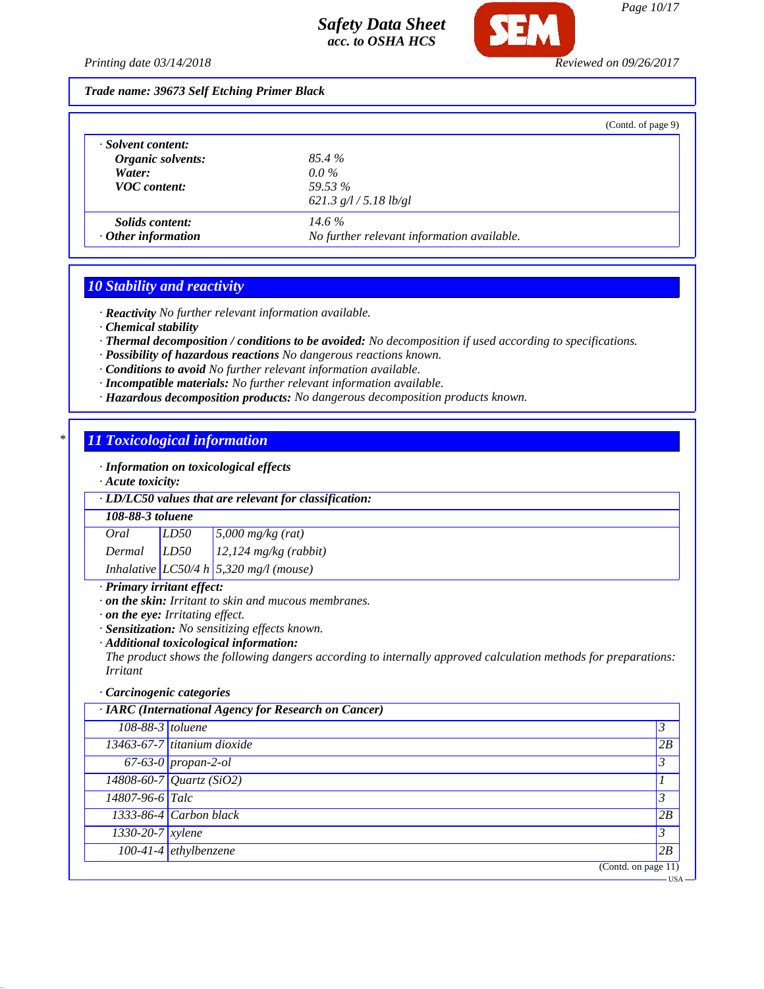

#### *Trade name: 39673 Self Etching Primer Black*

|                           |                                            | (Contd. of page 9) |
|---------------------------|--------------------------------------------|--------------------|
| · Solvent content:        |                                            |                    |
| Organic solvents:         | 85.4 %                                     |                    |
| Water:                    | $0.0\%$                                    |                    |
| <b>VOC</b> content:       | 59.53 %                                    |                    |
|                           | 621.3 $g/l / 5.18$ lb/gl                   |                    |
| <i>Solids content:</i>    | $14.6\%$                                   |                    |
| $\cdot$ Other information | No further relevant information available. |                    |

### *10 Stability and reactivity*

*· Reactivity No further relevant information available.*

- *· Chemical stability*
- *· Thermal decomposition / conditions to be avoided: No decomposition if used according to specifications.*
- *· Possibility of hazardous reactions No dangerous reactions known.*
- *· Conditions to avoid No further relevant information available.*
- *· Incompatible materials: No further relevant information available.*
- *· Hazardous decomposition products: No dangerous decomposition products known.*

## *\* 11 Toxicological information*

*· Information on toxicological effects*

*· Acute toxicity:*

#### *· LD/LC50 values that are relevant for classification:*

#### *108-88-3 toluene*

*Oral LD50 5,000 mg/kg (rat) Dermal LD50 12,124 mg/kg (rabbit) Inhalative LC50/4 h 5,320 mg/l (mouse)*

#### *· Primary irritant effect:*

- *· on the skin: Irritant to skin and mucous membranes.*
- *· on the eye: Irritating effect.*
- *· Sensitization: No sensitizing effects known.*
- *· Additional toxicological information:*

*The product shows the following dangers according to internally approved calculation methods for preparations: Irritant*

#### *· Carcinogenic categories*

|                  | · IARC (International Agency for Research on Cancer) |    |
|------------------|------------------------------------------------------|----|
| 108-88-3 toluene |                                                      | 3  |
|                  | 13463-67-7 titanium dioxide                          | 2B |
|                  | $\overline{67-63-0}$ propan-2-ol                     | 3  |
|                  | $14808 - 60 - 7$ <i>Quartz</i> (SiO2)                |    |
| 14807-96-6 Talc  |                                                      | 3  |
|                  | $1333-86-4$ Carbon black                             | 2B |
| 1330-20-7 xylene |                                                      | 3  |
|                  | 100-41-4 ethylbenzene                                | 2B |
|                  | (Contd. on page $11$ )                               |    |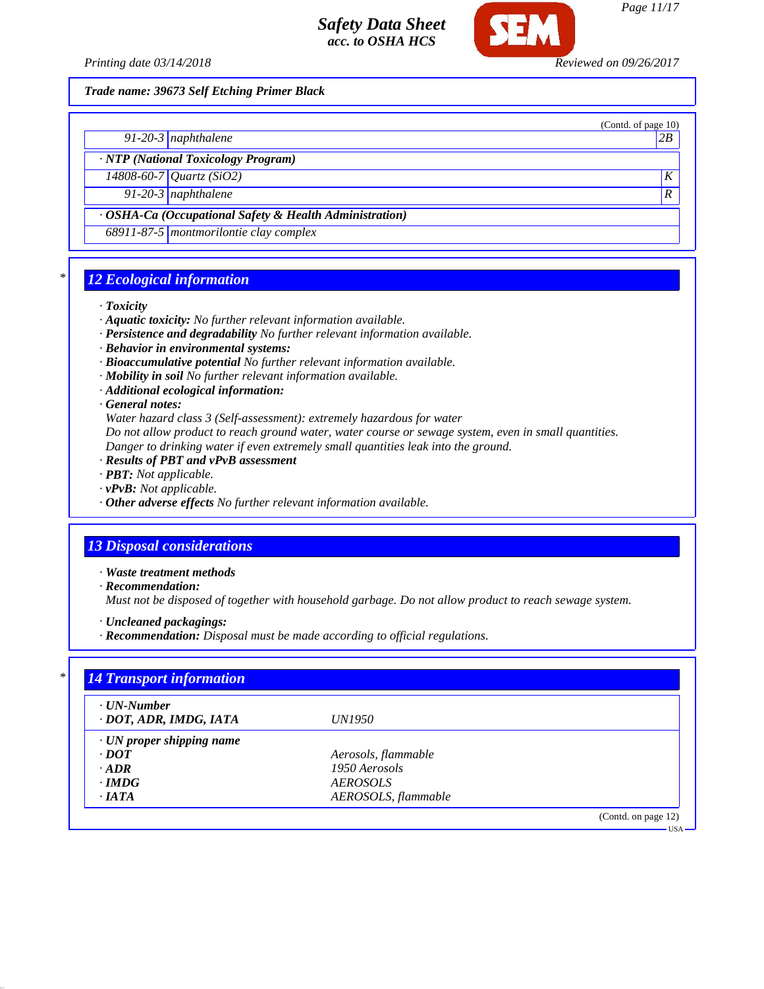

*Page 11/17*

(Contd. of page 10)

USA

*Trade name: 39673 Self Etching Primer Black*

*91-20-3 naphthalene 2B*

*· NTP (National Toxicology Program)*

*14808-60-7 Quartz (SiO2) K 91-20-3 naphthalene R* 

*· OSHA-Ca (Occupational Safety & Health Administration)*

*68911-87-5 montmorilontie clay complex*

## *\* 12 Ecological information*

*· Toxicity*

- *· Aquatic toxicity: No further relevant information available.*
- *· Persistence and degradability No further relevant information available.*
- *· Behavior in environmental systems:*
- *· Bioaccumulative potential No further relevant information available.*
- *· Mobility in soil No further relevant information available.*
- *· Additional ecological information:*

*· General notes:*

*Water hazard class 3 (Self-assessment): extremely hazardous for water*

*Do not allow product to reach ground water, water course or sewage system, even in small quantities.*

- *Danger to drinking water if even extremely small quantities leak into the ground.*
- *· Results of PBT and vPvB assessment*
- *· PBT: Not applicable.*
- *· vPvB: Not applicable.*
- *· Other adverse effects No further relevant information available.*

## *13 Disposal considerations*

*· Waste treatment methods*

*· Recommendation:*

*Must not be disposed of together with household garbage. Do not allow product to reach sewage system.*

*· Uncleaned packagings:*

*· Recommendation: Disposal must be made according to official regulations.*

| $\cdot$ UN-Number               |                     |  |
|---------------------------------|---------------------|--|
| · DOT, ADR, IMDG, IATA          | <i>UN1950</i>       |  |
| $\cdot$ UN proper shipping name |                     |  |
| $\cdot$ <i>DOT</i>              | Aerosols, flammable |  |
| $\cdot$ ADR                     | 1950 Aerosols       |  |
| $\cdot$ IMDG                    | <b>AEROSOLS</b>     |  |
| $\cdot$ IATA                    | AEROSOLS, flammable |  |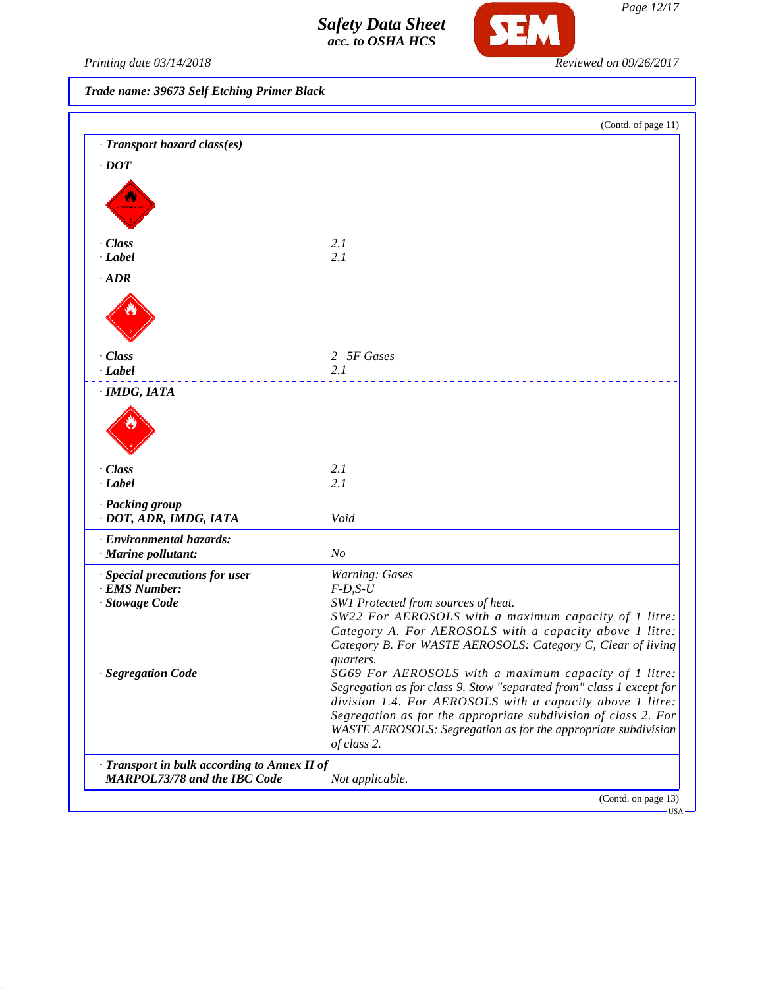

Printing date 03/14/2018 **Reviewed on 09/26/2017** 

*Trade name: 39673 Self Etching Primer Black*

|                                                                                     | (Contd. of page 11)                                                                                                    |
|-------------------------------------------------------------------------------------|------------------------------------------------------------------------------------------------------------------------|
| · Transport hazard class(es)                                                        |                                                                                                                        |
| $\cdot$ DOT                                                                         |                                                                                                                        |
|                                                                                     |                                                                                                                        |
|                                                                                     |                                                                                                                        |
| <b>MAIARES</b>                                                                      |                                                                                                                        |
|                                                                                     |                                                                                                                        |
| · Class                                                                             | 2.1                                                                                                                    |
| · Label                                                                             | 2.1                                                                                                                    |
| $\cdot$ ADR                                                                         |                                                                                                                        |
|                                                                                     |                                                                                                                        |
|                                                                                     |                                                                                                                        |
|                                                                                     |                                                                                                                        |
| · Class                                                                             | 2 5F Gases                                                                                                             |
| · Label                                                                             | 2.1                                                                                                                    |
|                                                                                     |                                                                                                                        |
| · IMDG, IATA                                                                        |                                                                                                                        |
|                                                                                     |                                                                                                                        |
|                                                                                     |                                                                                                                        |
|                                                                                     |                                                                                                                        |
| · Class                                                                             | 2.1                                                                                                                    |
| $-Label$                                                                            | 2.1                                                                                                                    |
| · Packing group                                                                     |                                                                                                                        |
| · DOT, ADR, IMDG, IATA                                                              | Void                                                                                                                   |
| · Environmental hazards:                                                            |                                                                                                                        |
| · Marine pollutant:                                                                 | N <sub>O</sub>                                                                                                         |
| · Special precautions for user                                                      | <b>Warning: Gases</b>                                                                                                  |
| · EMS Number:                                                                       | $F-D, S-U$                                                                                                             |
| · Stowage Code                                                                      | SW1 Protected from sources of heat.                                                                                    |
|                                                                                     | SW22 For AEROSOLS with a maximum capacity of 1 litre:                                                                  |
|                                                                                     | Category A. For AEROSOLS with a capacity above 1 litre:<br>Category B. For WASTE AEROSOLS: Category C, Clear of living |
|                                                                                     | quarters.                                                                                                              |
| · Segregation Code                                                                  | SG69 For AEROSOLS with a maximum capacity of 1 litre:                                                                  |
|                                                                                     | Segregation as for class 9. Stow "separated from" class 1 except for                                                   |
|                                                                                     | division 1.4. For AEROSOLS with a capacity above 1 litre:                                                              |
|                                                                                     | Segregation as for the appropriate subdivision of class 2. For                                                         |
|                                                                                     | WASTE AEROSOLS: Segregation as for the appropriate subdivision<br>of class 2.                                          |
|                                                                                     |                                                                                                                        |
| · Transport in bulk according to Annex II of<br><b>MARPOL73/78 and the IBC Code</b> | Not applicable.                                                                                                        |
|                                                                                     |                                                                                                                        |

*Page 12/17*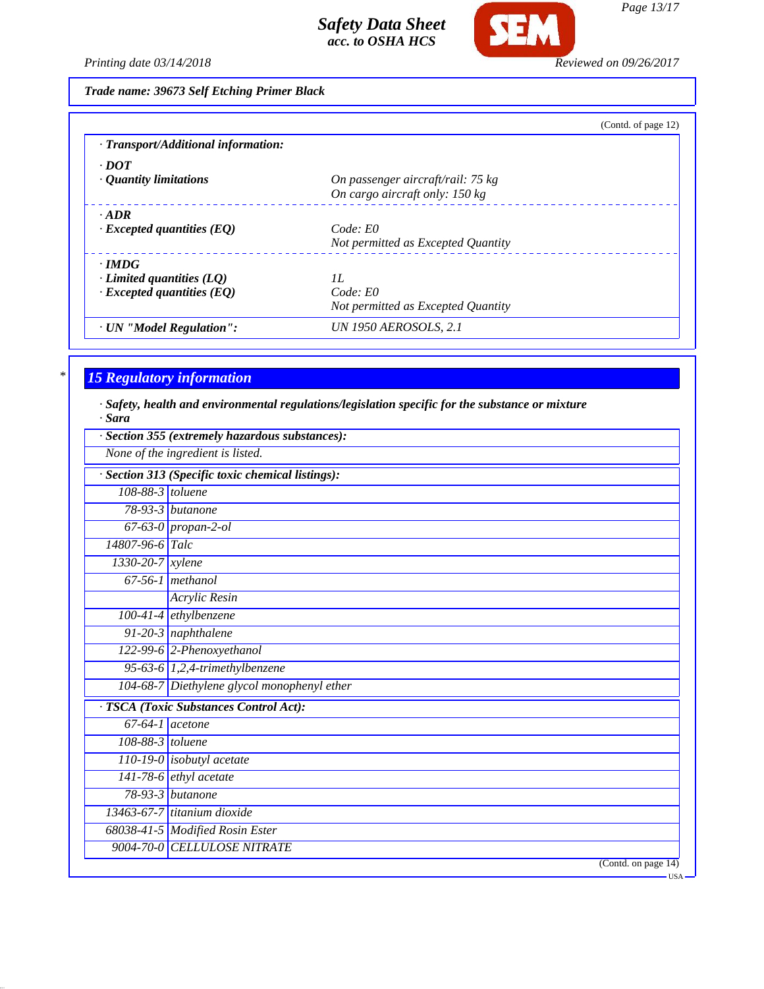

*Page 13/17*

*Printing date 03/14/2018 Reviewed on 09/26/2017*

*Trade name: 39673 Self Etching Primer Black*

|                                     | (Contd. of page 12)                |
|-------------------------------------|------------------------------------|
| · Transport/Additional information: |                                    |
| $\cdot$ DOT                         |                                    |
| $\cdot$ Quantity limitations        | On passenger aircraft/rail: 75 kg  |
|                                     | On cargo aircraft only: 150 kg     |
| $- ADR$                             |                                    |
| $\cdot$ Excepted quantities (EQ)    | Code: E0                           |
|                                     | Not permitted as Excepted Quantity |
| $\cdot$ IMDG                        |                                    |
| $\cdot$ Limited quantities (LQ)     | II.                                |
| $\cdot$ Excepted quantities (EQ)    | Code: E0                           |
|                                     | Not permitted as Excepted Quantity |
| · UN "Model Regulation":            | <b>UN 1950 AEROSOLS, 2.1</b>       |

# *\* 15 Regulatory information*

*· Safety, health and environmental regulations/legislation specific for the substance or mixture · Sara*

|                   | None of the ingredient is listed.               |
|-------------------|-------------------------------------------------|
|                   | Section 313 (Specific toxic chemical listings): |
| 108-88-3 toluene  |                                                 |
|                   | $78-93-3$ butanone                              |
|                   | 67-63-0 propan-2-ol                             |
| 14807-96-6 Talc   |                                                 |
| 1330-20-7 xylene  |                                                 |
|                   | $67-56-1$ methanol                              |
|                   | <b>Acrylic Resin</b>                            |
|                   | $100-41-4$ ethylbenzene                         |
|                   | 91-20-3 naphthalene                             |
|                   | 122-99-6 2-Phenoxyethanol                       |
|                   | 95-63-6 $1,2,4$ -trimethylbenzene               |
|                   | 104-68-7 Diethylene glycol monophenyl ether     |
|                   | <b>TSCA</b> (Toxic Substances Control Act):     |
| $67-64-1$ acetone |                                                 |
| 108-88-3 toluene  |                                                 |
|                   | $\boxed{110-19-0}$ isobutyl acetate             |
|                   | $141-78-6$ ethyl acetate                        |
|                   | 78-93-3 butanone                                |
|                   | 13463-67-7 titanium dioxide                     |
|                   | 68038-41-5 Modified Rosin Ester                 |
|                   | 9004-70-0 CELLULOSE NITRATE                     |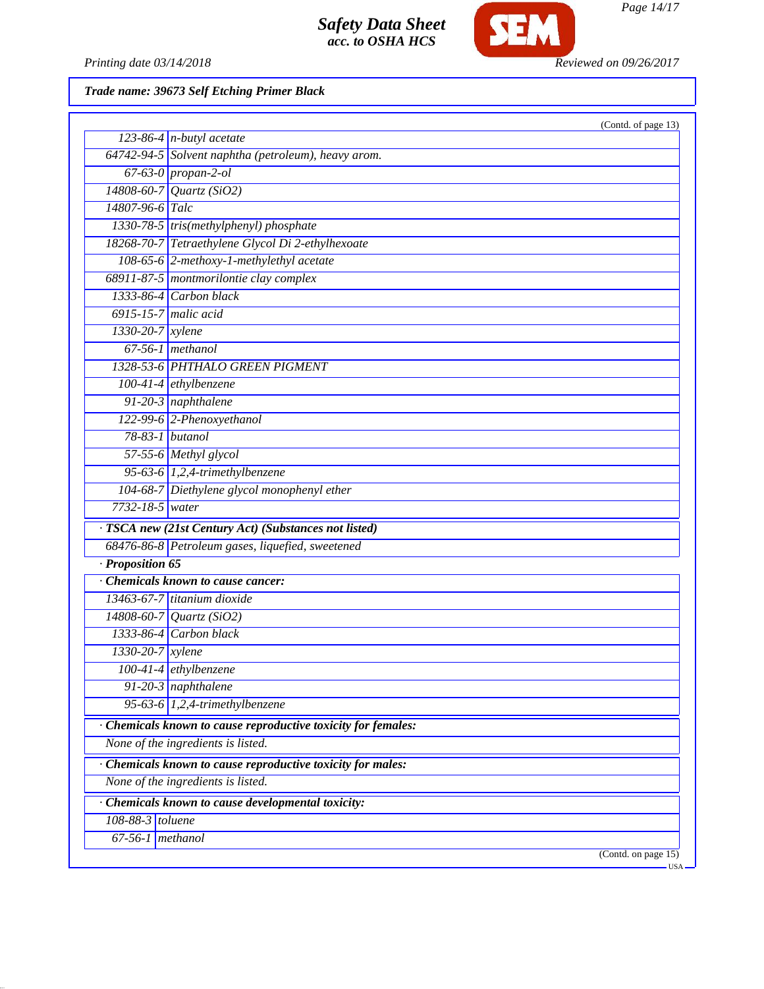

*Page 14/17*

Printing date 03/14/2018 **Reviewed on 09/26/2017** 

*Trade name: 39673 Self Etching Primer Black*

| 123-86-4 $n$ -butyl acetate<br>64742-94-5 Solvent naphtha (petroleum), heavy arom.<br>$67-63-0$ propan-2-ol<br>14808-60-7<br>Quartz (SiO2)<br>14807-96-6 Talc<br>1330-78-5 tris(methylphenyl) phosphate<br>18268-70-7 Tetraethylene Glycol Di 2-ethylhexoate<br>108-65-6 2-methoxy-1-methylethyl acetate<br>68911-87-5 montmorilontie clay complex<br>$1333-86-4$ Carbon black<br>$6915 - 15 - 7$ malic acid<br>1330-20-7 xylene<br>$67-56-1$ methanol<br>1328-53-6 PHTHALO GREEN PIGMENT<br>100-41-4 ethylbenzene<br>91-20-3 naphthalene<br>122-99-6 2-Phenoxyethanol<br>78-83-1 butanol<br>57-55-6 Methyl glycol<br>95-63-6 $1,2,4$ -trimethylbenzene<br>104-68-7 Diethylene glycol monophenyl ether<br>7732-18-5 water<br>· TSCA new (21st Century Act) (Substances not listed)<br>68476-86-8 Petroleum gases, liquefied, sweetened<br>· Proposition 65<br>Chemicals known to cause cancer:<br>$13463-67-7$ titanium dioxide<br>14808-60-7 Quartz (SiO2)<br>1333-86-4 Carbon black<br>1330-20-7 xylene<br>100-41-4 ethylbenzene<br>91-20-3 naphthalene<br>95-63-6 $1,2,4$ -trimethylbenzene<br>· Chemicals known to cause reproductive toxicity for females:<br>None of the ingredients is listed.<br>Chemicals known to cause reproductive toxicity for males:<br>None of the ingredients is listed.<br>· Chemicals known to cause developmental toxicity:<br>108-88-3 toluene<br>$67-56-1$ methanol |  | (Contd. of page 13)          |  |
|----------------------------------------------------------------------------------------------------------------------------------------------------------------------------------------------------------------------------------------------------------------------------------------------------------------------------------------------------------------------------------------------------------------------------------------------------------------------------------------------------------------------------------------------------------------------------------------------------------------------------------------------------------------------------------------------------------------------------------------------------------------------------------------------------------------------------------------------------------------------------------------------------------------------------------------------------------------------------------------------------------------------------------------------------------------------------------------------------------------------------------------------------------------------------------------------------------------------------------------------------------------------------------------------------------------------------------------------------------------------------------------------------------|--|------------------------------|--|
|                                                                                                                                                                                                                                                                                                                                                                                                                                                                                                                                                                                                                                                                                                                                                                                                                                                                                                                                                                                                                                                                                                                                                                                                                                                                                                                                                                                                          |  |                              |  |
|                                                                                                                                                                                                                                                                                                                                                                                                                                                                                                                                                                                                                                                                                                                                                                                                                                                                                                                                                                                                                                                                                                                                                                                                                                                                                                                                                                                                          |  |                              |  |
|                                                                                                                                                                                                                                                                                                                                                                                                                                                                                                                                                                                                                                                                                                                                                                                                                                                                                                                                                                                                                                                                                                                                                                                                                                                                                                                                                                                                          |  |                              |  |
|                                                                                                                                                                                                                                                                                                                                                                                                                                                                                                                                                                                                                                                                                                                                                                                                                                                                                                                                                                                                                                                                                                                                                                                                                                                                                                                                                                                                          |  |                              |  |
|                                                                                                                                                                                                                                                                                                                                                                                                                                                                                                                                                                                                                                                                                                                                                                                                                                                                                                                                                                                                                                                                                                                                                                                                                                                                                                                                                                                                          |  |                              |  |
|                                                                                                                                                                                                                                                                                                                                                                                                                                                                                                                                                                                                                                                                                                                                                                                                                                                                                                                                                                                                                                                                                                                                                                                                                                                                                                                                                                                                          |  |                              |  |
|                                                                                                                                                                                                                                                                                                                                                                                                                                                                                                                                                                                                                                                                                                                                                                                                                                                                                                                                                                                                                                                                                                                                                                                                                                                                                                                                                                                                          |  |                              |  |
|                                                                                                                                                                                                                                                                                                                                                                                                                                                                                                                                                                                                                                                                                                                                                                                                                                                                                                                                                                                                                                                                                                                                                                                                                                                                                                                                                                                                          |  |                              |  |
|                                                                                                                                                                                                                                                                                                                                                                                                                                                                                                                                                                                                                                                                                                                                                                                                                                                                                                                                                                                                                                                                                                                                                                                                                                                                                                                                                                                                          |  |                              |  |
|                                                                                                                                                                                                                                                                                                                                                                                                                                                                                                                                                                                                                                                                                                                                                                                                                                                                                                                                                                                                                                                                                                                                                                                                                                                                                                                                                                                                          |  |                              |  |
|                                                                                                                                                                                                                                                                                                                                                                                                                                                                                                                                                                                                                                                                                                                                                                                                                                                                                                                                                                                                                                                                                                                                                                                                                                                                                                                                                                                                          |  |                              |  |
|                                                                                                                                                                                                                                                                                                                                                                                                                                                                                                                                                                                                                                                                                                                                                                                                                                                                                                                                                                                                                                                                                                                                                                                                                                                                                                                                                                                                          |  |                              |  |
|                                                                                                                                                                                                                                                                                                                                                                                                                                                                                                                                                                                                                                                                                                                                                                                                                                                                                                                                                                                                                                                                                                                                                                                                                                                                                                                                                                                                          |  |                              |  |
|                                                                                                                                                                                                                                                                                                                                                                                                                                                                                                                                                                                                                                                                                                                                                                                                                                                                                                                                                                                                                                                                                                                                                                                                                                                                                                                                                                                                          |  |                              |  |
|                                                                                                                                                                                                                                                                                                                                                                                                                                                                                                                                                                                                                                                                                                                                                                                                                                                                                                                                                                                                                                                                                                                                                                                                                                                                                                                                                                                                          |  |                              |  |
|                                                                                                                                                                                                                                                                                                                                                                                                                                                                                                                                                                                                                                                                                                                                                                                                                                                                                                                                                                                                                                                                                                                                                                                                                                                                                                                                                                                                          |  |                              |  |
|                                                                                                                                                                                                                                                                                                                                                                                                                                                                                                                                                                                                                                                                                                                                                                                                                                                                                                                                                                                                                                                                                                                                                                                                                                                                                                                                                                                                          |  |                              |  |
|                                                                                                                                                                                                                                                                                                                                                                                                                                                                                                                                                                                                                                                                                                                                                                                                                                                                                                                                                                                                                                                                                                                                                                                                                                                                                                                                                                                                          |  |                              |  |
|                                                                                                                                                                                                                                                                                                                                                                                                                                                                                                                                                                                                                                                                                                                                                                                                                                                                                                                                                                                                                                                                                                                                                                                                                                                                                                                                                                                                          |  |                              |  |
|                                                                                                                                                                                                                                                                                                                                                                                                                                                                                                                                                                                                                                                                                                                                                                                                                                                                                                                                                                                                                                                                                                                                                                                                                                                                                                                                                                                                          |  |                              |  |
|                                                                                                                                                                                                                                                                                                                                                                                                                                                                                                                                                                                                                                                                                                                                                                                                                                                                                                                                                                                                                                                                                                                                                                                                                                                                                                                                                                                                          |  |                              |  |
|                                                                                                                                                                                                                                                                                                                                                                                                                                                                                                                                                                                                                                                                                                                                                                                                                                                                                                                                                                                                                                                                                                                                                                                                                                                                                                                                                                                                          |  |                              |  |
|                                                                                                                                                                                                                                                                                                                                                                                                                                                                                                                                                                                                                                                                                                                                                                                                                                                                                                                                                                                                                                                                                                                                                                                                                                                                                                                                                                                                          |  |                              |  |
|                                                                                                                                                                                                                                                                                                                                                                                                                                                                                                                                                                                                                                                                                                                                                                                                                                                                                                                                                                                                                                                                                                                                                                                                                                                                                                                                                                                                          |  |                              |  |
|                                                                                                                                                                                                                                                                                                                                                                                                                                                                                                                                                                                                                                                                                                                                                                                                                                                                                                                                                                                                                                                                                                                                                                                                                                                                                                                                                                                                          |  |                              |  |
|                                                                                                                                                                                                                                                                                                                                                                                                                                                                                                                                                                                                                                                                                                                                                                                                                                                                                                                                                                                                                                                                                                                                                                                                                                                                                                                                                                                                          |  |                              |  |
|                                                                                                                                                                                                                                                                                                                                                                                                                                                                                                                                                                                                                                                                                                                                                                                                                                                                                                                                                                                                                                                                                                                                                                                                                                                                                                                                                                                                          |  |                              |  |
|                                                                                                                                                                                                                                                                                                                                                                                                                                                                                                                                                                                                                                                                                                                                                                                                                                                                                                                                                                                                                                                                                                                                                                                                                                                                                                                                                                                                          |  |                              |  |
|                                                                                                                                                                                                                                                                                                                                                                                                                                                                                                                                                                                                                                                                                                                                                                                                                                                                                                                                                                                                                                                                                                                                                                                                                                                                                                                                                                                                          |  |                              |  |
|                                                                                                                                                                                                                                                                                                                                                                                                                                                                                                                                                                                                                                                                                                                                                                                                                                                                                                                                                                                                                                                                                                                                                                                                                                                                                                                                                                                                          |  |                              |  |
|                                                                                                                                                                                                                                                                                                                                                                                                                                                                                                                                                                                                                                                                                                                                                                                                                                                                                                                                                                                                                                                                                                                                                                                                                                                                                                                                                                                                          |  |                              |  |
|                                                                                                                                                                                                                                                                                                                                                                                                                                                                                                                                                                                                                                                                                                                                                                                                                                                                                                                                                                                                                                                                                                                                                                                                                                                                                                                                                                                                          |  |                              |  |
|                                                                                                                                                                                                                                                                                                                                                                                                                                                                                                                                                                                                                                                                                                                                                                                                                                                                                                                                                                                                                                                                                                                                                                                                                                                                                                                                                                                                          |  |                              |  |
|                                                                                                                                                                                                                                                                                                                                                                                                                                                                                                                                                                                                                                                                                                                                                                                                                                                                                                                                                                                                                                                                                                                                                                                                                                                                                                                                                                                                          |  |                              |  |
|                                                                                                                                                                                                                                                                                                                                                                                                                                                                                                                                                                                                                                                                                                                                                                                                                                                                                                                                                                                                                                                                                                                                                                                                                                                                                                                                                                                                          |  |                              |  |
|                                                                                                                                                                                                                                                                                                                                                                                                                                                                                                                                                                                                                                                                                                                                                                                                                                                                                                                                                                                                                                                                                                                                                                                                                                                                                                                                                                                                          |  |                              |  |
|                                                                                                                                                                                                                                                                                                                                                                                                                                                                                                                                                                                                                                                                                                                                                                                                                                                                                                                                                                                                                                                                                                                                                                                                                                                                                                                                                                                                          |  |                              |  |
|                                                                                                                                                                                                                                                                                                                                                                                                                                                                                                                                                                                                                                                                                                                                                                                                                                                                                                                                                                                                                                                                                                                                                                                                                                                                                                                                                                                                          |  |                              |  |
|                                                                                                                                                                                                                                                                                                                                                                                                                                                                                                                                                                                                                                                                                                                                                                                                                                                                                                                                                                                                                                                                                                                                                                                                                                                                                                                                                                                                          |  |                              |  |
|                                                                                                                                                                                                                                                                                                                                                                                                                                                                                                                                                                                                                                                                                                                                                                                                                                                                                                                                                                                                                                                                                                                                                                                                                                                                                                                                                                                                          |  |                              |  |
|                                                                                                                                                                                                                                                                                                                                                                                                                                                                                                                                                                                                                                                                                                                                                                                                                                                                                                                                                                                                                                                                                                                                                                                                                                                                                                                                                                                                          |  | (Contd. on page 15)<br>·USA· |  |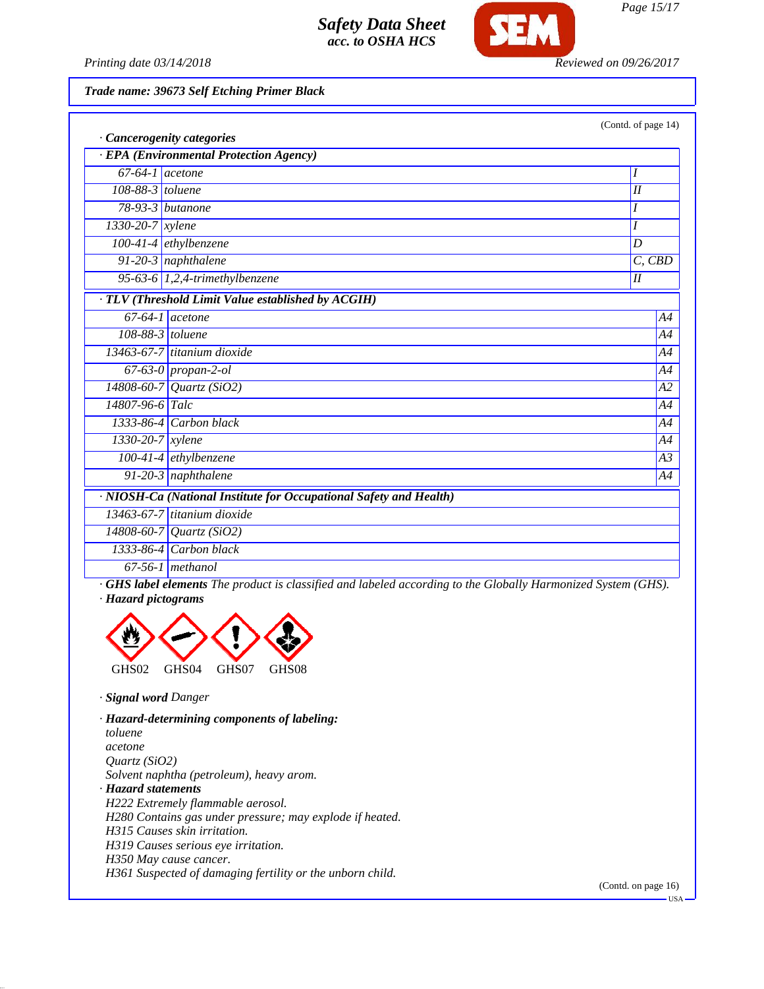

*Page 15/17*

*Printing date 03/14/2018 Reviewed on 09/26/2017*

*Trade name: 39673 Self Etching Primer Black*

|                                                                    |                                                    | (Contd. of page 14) |  |  |
|--------------------------------------------------------------------|----------------------------------------------------|---------------------|--|--|
| Cancerogenity categories                                           |                                                    |                     |  |  |
| · EPA (Environmental Protection Agency)                            |                                                    |                     |  |  |
| $67-64-1$ acetone                                                  |                                                    | I                   |  |  |
| 108-88-3 toluene                                                   |                                                    | I                   |  |  |
|                                                                    | $78-93-3$ butanone                                 | I                   |  |  |
| 1330-20-7 xylene                                                   |                                                    | I                   |  |  |
|                                                                    | $100-41-4$ ethylbenzene                            | D                   |  |  |
|                                                                    | 91-20-3 naphthalene                                | $C,$ $CBD$          |  |  |
|                                                                    | 95-63-6 $1,2,4$ -trimethylbenzene                  | I                   |  |  |
|                                                                    | · TLV (Threshold Limit Value established by ACGIH) |                     |  |  |
|                                                                    | $67-64-1$ acetone                                  | A4                  |  |  |
| $108-88-3$ toluene                                                 |                                                    | A4                  |  |  |
|                                                                    | 13463-67-7 titanium dioxide                        | A4                  |  |  |
|                                                                    | 67-63-0 propan-2-ol                                | A4                  |  |  |
|                                                                    | 14808-60-7 Quartz (SiO2)                           | A2                  |  |  |
| 14807-96-6 Talc                                                    |                                                    | A4                  |  |  |
|                                                                    | $1333-86-4$ Carbon black                           | A4                  |  |  |
| 1330-20-7 xylene                                                   |                                                    | A4                  |  |  |
|                                                                    | 100-41-4 ethylbenzene                              | A3                  |  |  |
|                                                                    | 91-20-3 naphthalene                                | A4                  |  |  |
| · NIOSH-Ca (National Institute for Occupational Safety and Health) |                                                    |                     |  |  |
|                                                                    | $13463-67-7$ titanium dioxide                      |                     |  |  |
|                                                                    | 14808-60-7 Quartz (SiO2)                           |                     |  |  |
|                                                                    | $1333-86-4$ Carbon black                           |                     |  |  |
|                                                                    | $67-56-1$ methanol                                 |                     |  |  |

*· GHS label elements The product is classified and labeled according to the Globally Harmonized System (GHS). · Hazard pictograms*



*· Signal word Danger*

*· Hazard-determining components of labeling: toluene acetone Quartz (SiO2) Solvent naphtha (petroleum), heavy arom. · Hazard statements H222 Extremely flammable aerosol. H280 Contains gas under pressure; may explode if heated. H315 Causes skin irritation. H319 Causes serious eye irritation. H350 May cause cancer. H361 Suspected of damaging fertility or the unborn child.*

(Contd. on page 16)

 $-<sub>USA</sub>$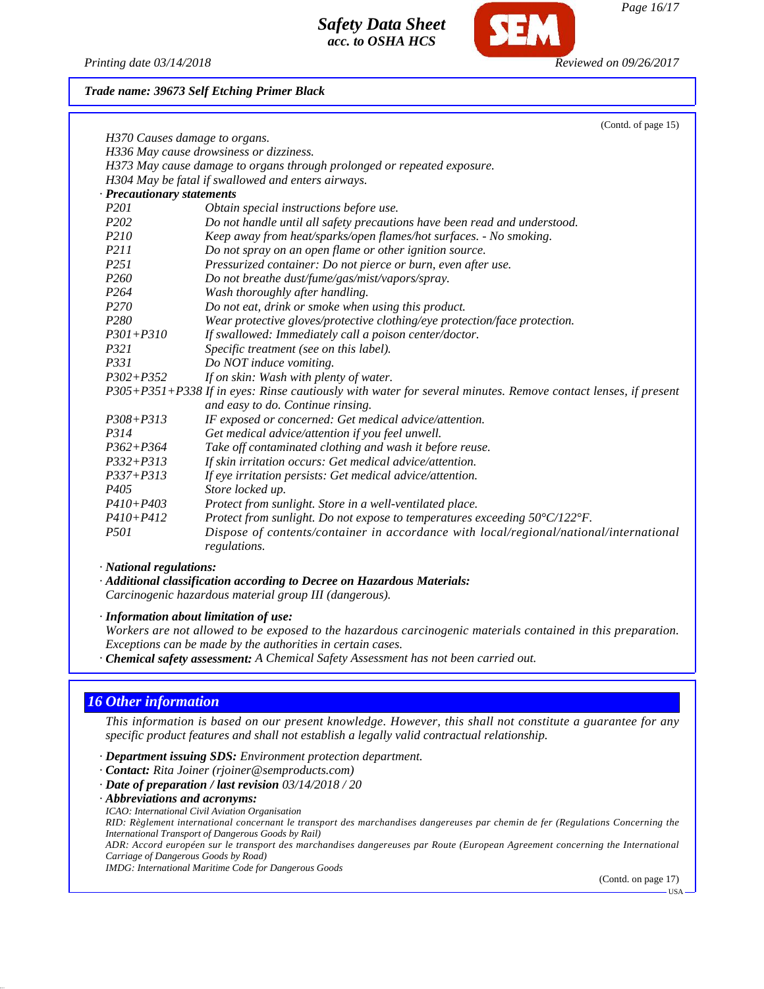

*Page 16/17*

*Printing date 03/14/2018 Reviewed on 09/26/2017*

*Trade name: 39673 Self Etching Primer Black*

|                                                                                                               | (Contd. of page 15)                                                                             |  |
|---------------------------------------------------------------------------------------------------------------|-------------------------------------------------------------------------------------------------|--|
| H370 Causes damage to organs.                                                                                 |                                                                                                 |  |
| H336 May cause drowsiness or dizziness.                                                                       |                                                                                                 |  |
| H373 May cause damage to organs through prolonged or repeated exposure.                                       |                                                                                                 |  |
|                                                                                                               | H304 May be fatal if swallowed and enters airways.                                              |  |
| · Precautionary statements                                                                                    |                                                                                                 |  |
| P <sub>201</sub>                                                                                              | Obtain special instructions before use.                                                         |  |
| P <sub>202</sub>                                                                                              | Do not handle until all safety precautions have been read and understood.                       |  |
| P <sub>210</sub>                                                                                              | Keep away from heat/sparks/open flames/hot surfaces. - No smoking.                              |  |
| P211                                                                                                          | Do not spray on an open flame or other ignition source.                                         |  |
| P <sub>251</sub>                                                                                              | Pressurized container: Do not pierce or burn, even after use.                                   |  |
| P <sub>260</sub>                                                                                              | Do not breathe dust/fume/gas/mist/vapors/spray.                                                 |  |
| P <sub>264</sub>                                                                                              | Wash thoroughly after handling.                                                                 |  |
| P <sub>270</sub>                                                                                              | Do not eat, drink or smoke when using this product.                                             |  |
| P <sub>280</sub>                                                                                              | Wear protective gloves/protective clothing/eye protection/face protection.                      |  |
| $P301 + P310$                                                                                                 | If swallowed: Immediately call a poison center/doctor.                                          |  |
| P321                                                                                                          | Specific treatment (see on this label).                                                         |  |
| P331                                                                                                          | Do NOT induce vomiting.                                                                         |  |
| $P302 + P352$                                                                                                 | If on skin: Wash with plenty of water.                                                          |  |
| P305+P351+P338 If in eyes: Rinse cautiously with water for several minutes. Remove contact lenses, if present |                                                                                                 |  |
|                                                                                                               | and easy to do. Continue rinsing.                                                               |  |
| $P308 + P313$                                                                                                 | IF exposed or concerned: Get medical advice/attention.                                          |  |
| P314                                                                                                          | Get medical advice/attention if you feel unwell.                                                |  |
| $P362 + P364$                                                                                                 | Take off contaminated clothing and wash it before reuse.                                        |  |
| $P332 + P313$                                                                                                 | If skin irritation occurs: Get medical advice/attention.                                        |  |
| $P337 + P313$                                                                                                 | If eye irritation persists: Get medical advice/attention.                                       |  |
| P405                                                                                                          | Store locked up.                                                                                |  |
| $P410 + P403$                                                                                                 | Protect from sunlight. Store in a well-ventilated place.                                        |  |
| P410+P412                                                                                                     | Protect from sunlight. Do not expose to temperatures exceeding $50^{\circ}$ C/122 $^{\circ}$ F. |  |
| P501                                                                                                          | Dispose of contents/container in accordance with local/regional/national/international          |  |
|                                                                                                               | regulations.                                                                                    |  |

#### *· National regulations:*

*· Additional classification according to Decree on Hazardous Materials: Carcinogenic hazardous material group III (dangerous).*

*· Information about limitation of use:*

*Workers are not allowed to be exposed to the hazardous carcinogenic materials contained in this preparation. Exceptions can be made by the authorities in certain cases.*

*· Chemical safety assessment: A Chemical Safety Assessment has not been carried out.*

## *16 Other information*

*This information is based on our present knowledge. However, this shall not constitute a guarantee for any specific product features and shall not establish a legally valid contractual relationship.*

- *· Department issuing SDS: Environment protection department.*
- *· Contact: Rita Joiner (rjoiner@semproducts.com)*
- *· Date of preparation / last revision 03/14/2018 / 20*
- *· Abbreviations and acronyms:*
- *ICAO: International Civil Aviation Organisation*

*RID: Règlement international concernant le transport des marchandises dangereuses par chemin de fer (Regulations Concerning the International Transport of Dangerous Goods by Rail)*

*ADR: Accord européen sur le transport des marchandises dangereuses par Route (European Agreement concerning the International Carriage of Dangerous Goods by Road)*

*IMDG: International Maritime Code for Dangerous Goods*

(Contd. on page 17)

USA